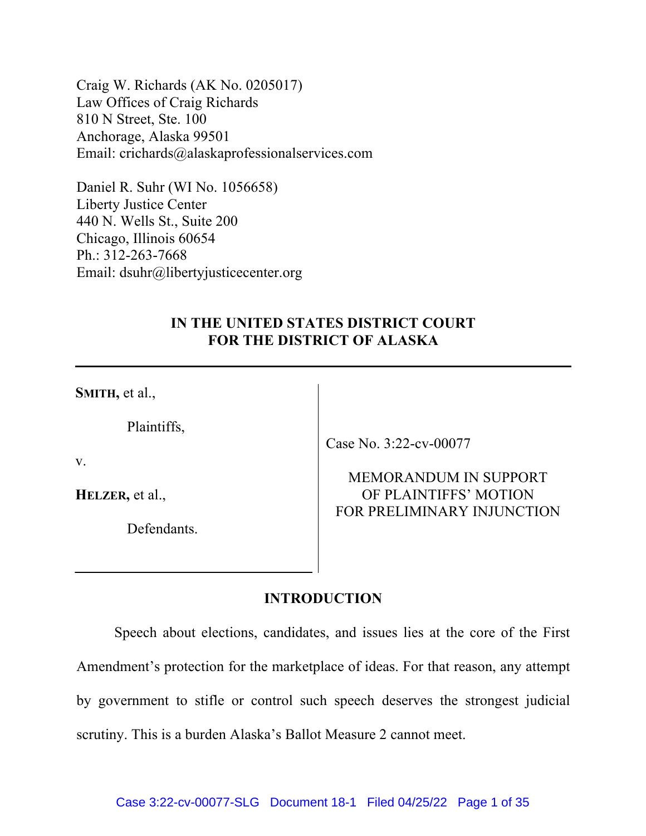Craig W. Richards (AK No. 0205017) Law Offices of Craig Richards 810 N Street, Ste. 100 Anchorage, Alaska 99501 Email: crichards@alaskaprofessionalservices.com

Daniel R. Suhr (WI No. 1056658) Liberty Justice Center 440 N. Wells St., Suite 200 Chicago, Illinois 60654 Ph.: 312-263-7668 Email: dsuhr@libertyjusticecenter.org

# **IN THE UNITED STATES DISTRICT COURT FOR THE DISTRICT OF ALASKA**

**SMITH,** et al.,

Plaintiffs,

v.

**HELZER,** et al.,

Defendants.

Case No. 3:22-cv-00077

## MEMORANDUM IN SUPPORT OF PLAINTIFFS' MOTION FOR PRELIMINARY INJUNCTION

## **INTRODUCTION**

Speech about elections, candidates, and issues lies at the core of the First Amendment's protection for the marketplace of ideas. For that reason, any attempt by government to stifle or control such speech deserves the strongest judicial scrutiny. This is a burden Alaska's Ballot Measure 2 cannot meet.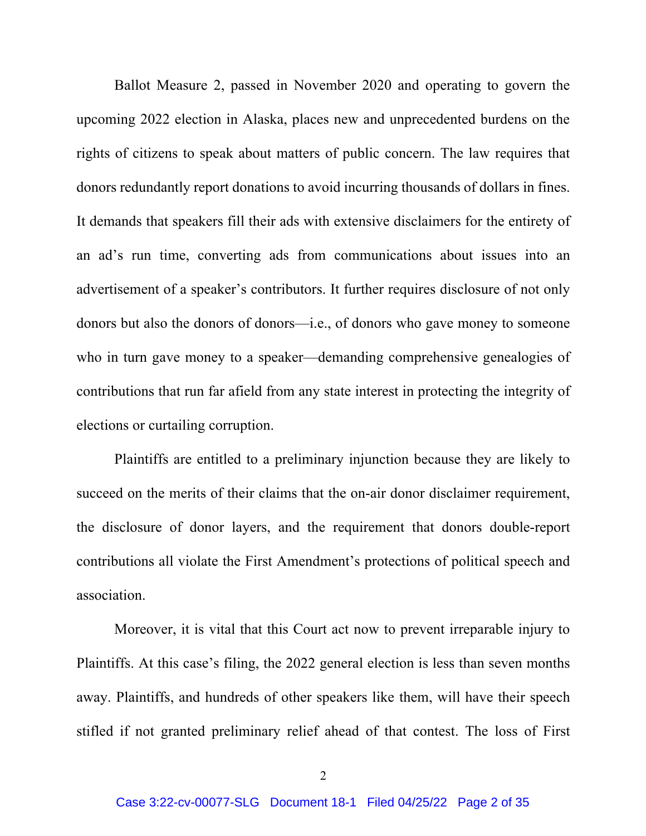Ballot Measure 2, passed in November 2020 and operating to govern the upcoming 2022 election in Alaska, places new and unprecedented burdens on the rights of citizens to speak about matters of public concern. The law requires that donors redundantly report donations to avoid incurring thousands of dollars in fines. It demands that speakers fill their ads with extensive disclaimers for the entirety of an ad's run time, converting ads from communications about issues into an advertisement of a speaker's contributors. It further requires disclosure of not only donors but also the donors of donors—i.e., of donors who gave money to someone who in turn gave money to a speaker—demanding comprehensive genealogies of contributions that run far afield from any state interest in protecting the integrity of elections or curtailing corruption.

Plaintiffs are entitled to a preliminary injunction because they are likely to succeed on the merits of their claims that the on-air donor disclaimer requirement, the disclosure of donor layers, and the requirement that donors double-report contributions all violate the First Amendment's protections of political speech and association.

Moreover, it is vital that this Court act now to prevent irreparable injury to Plaintiffs. At this case's filing, the 2022 general election is less than seven months away. Plaintiffs, and hundreds of other speakers like them, will have their speech stifled if not granted preliminary relief ahead of that contest. The loss of First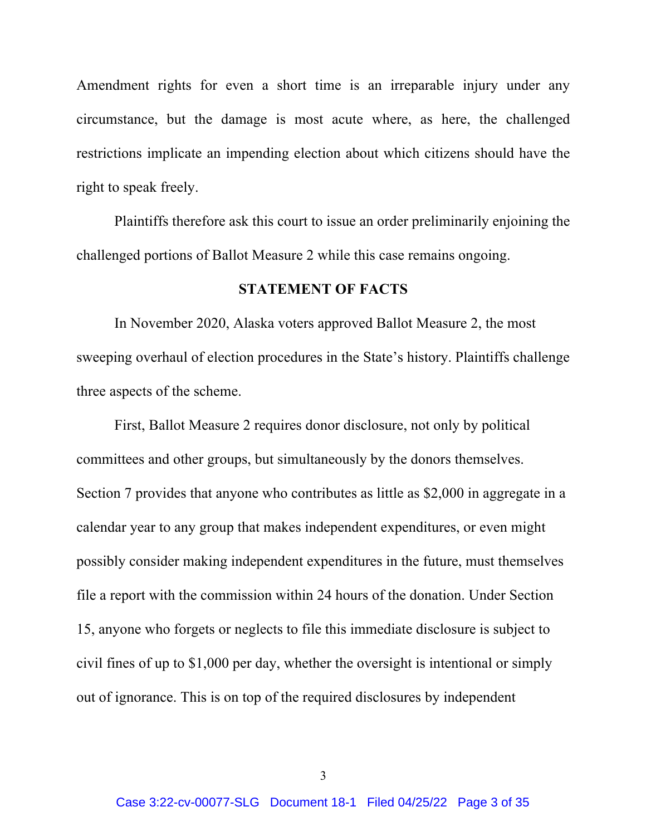Amendment rights for even a short time is an irreparable injury under any circumstance, but the damage is most acute where, as here, the challenged restrictions implicate an impending election about which citizens should have the right to speak freely.

Plaintiffs therefore ask this court to issue an order preliminarily enjoining the challenged portions of Ballot Measure 2 while this case remains ongoing.

#### **STATEMENT OF FACTS**

In November 2020, Alaska voters approved Ballot Measure 2, the most sweeping overhaul of election procedures in the State's history. Plaintiffs challenge three aspects of the scheme.

First, Ballot Measure 2 requires donor disclosure, not only by political committees and other groups, but simultaneously by the donors themselves. Section 7 provides that anyone who contributes as little as \$2,000 in aggregate in a calendar year to any group that makes independent expenditures, or even might possibly consider making independent expenditures in the future, must themselves file a report with the commission within 24 hours of the donation. Under Section 15, anyone who forgets or neglects to file this immediate disclosure is subject to civil fines of up to \$1,000 per day, whether the oversight is intentional or simply out of ignorance. This is on top of the required disclosures by independent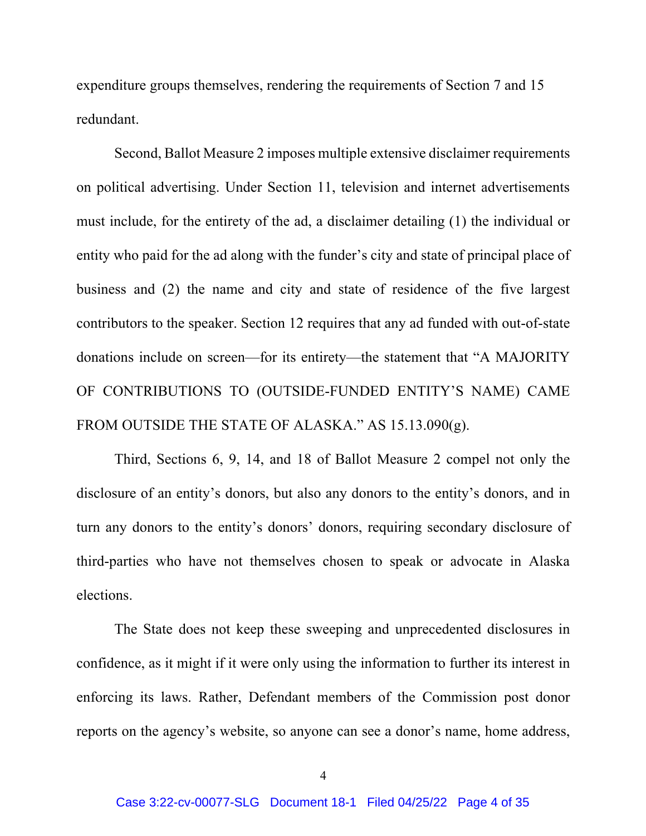expenditure groups themselves, rendering the requirements of Section 7 and 15 redundant.

Second, Ballot Measure 2 imposes multiple extensive disclaimer requirements on political advertising. Under Section 11, television and internet advertisements must include, for the entirety of the ad, a disclaimer detailing (1) the individual or entity who paid for the ad along with the funder's city and state of principal place of business and (2) the name and city and state of residence of the five largest contributors to the speaker. Section 12 requires that any ad funded with out-of-state donations include on screen—for its entirety—the statement that "A MAJORITY OF CONTRIBUTIONS TO (OUTSIDE-FUNDED ENTITY'S NAME) CAME FROM OUTSIDE THE STATE OF ALASKA." AS 15.13.090(g).

Third, Sections 6, 9, 14, and 18 of Ballot Measure 2 compel not only the disclosure of an entity's donors, but also any donors to the entity's donors, and in turn any donors to the entity's donors' donors, requiring secondary disclosure of third-parties who have not themselves chosen to speak or advocate in Alaska elections.

The State does not keep these sweeping and unprecedented disclosures in confidence, as it might if it were only using the information to further its interest in enforcing its laws. Rather, Defendant members of the Commission post donor reports on the agency's website, so anyone can see a donor's name, home address,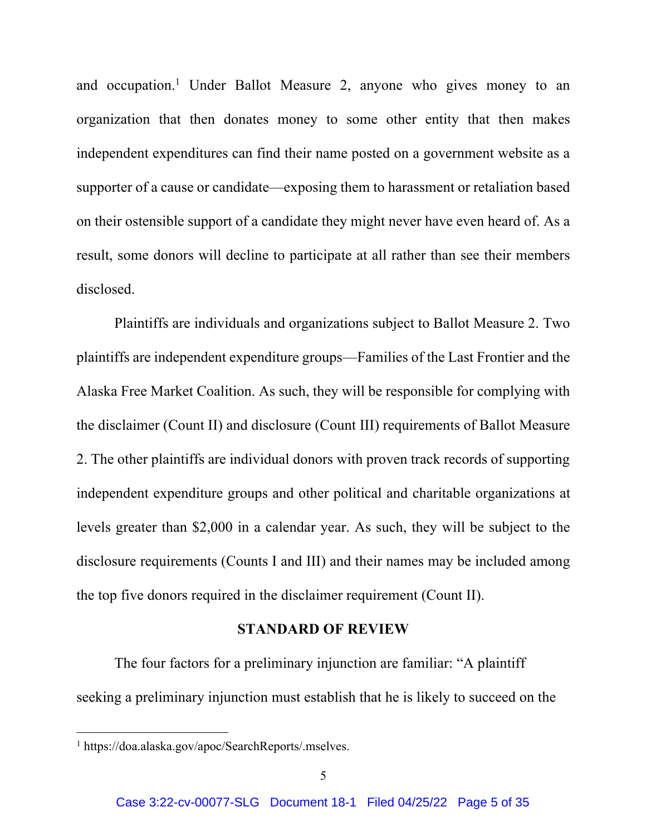and occupation.<sup>1</sup> Under Ballot Measure 2, anyone who gives money to an organization that then donates money to some other entity that then makes independent expenditures can find their name posted on a government website as a supporter of a cause or candidate—exposing them to harassment or retaliation based on their ostensible support of a candidate they might never have even heard of. As a result, some donors will decline to participate at all rather than see their members disclosed.

Plaintiffs are individuals and organizations subject to Ballot Measure 2. Two plaintiffs are independent expenditure groups—Families of the Last Frontier and the Alaska Free Market Coalition. As such, they will be responsible for complying with the disclaimer (Count II) and disclosure (Count III) requirements of Ballot Measure 2. The other plaintiffs are individual donors with proven track records of supporting independent expenditure groups and other political and charitable organizations at levels greater than \$2,000 in a calendar year. As such, they will be subject to the disclosure requirements (Counts I and III) and their names may be included among the top five donors required in the disclaimer requirement (Count II).

### **STANDARD OF REVIEW**

The four factors for a preliminary injunction are familiar: "A plaintiff seeking a preliminary injunction must establish that he is likely to succeed on the

<sup>1</sup> https://doa.alaska.gov/apoc/SearchReports/.mselves.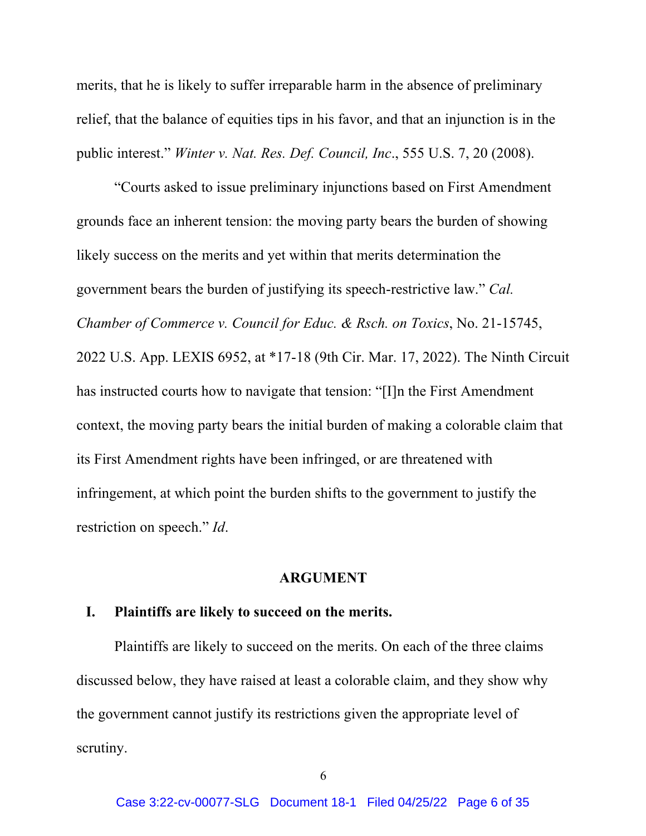merits, that he is likely to suffer irreparable harm in the absence of preliminary relief, that the balance of equities tips in his favor, and that an injunction is in the public interest." *Winter v. Nat. Res. Def. Council, Inc*., 555 U.S. 7, 20 (2008).

"Courts asked to issue preliminary injunctions based on First Amendment grounds face an inherent tension: the moving party bears the burden of showing likely success on the merits and yet within that merits determination the government bears the burden of justifying its speech-restrictive law." *Cal. Chamber of Commerce v. Council for Educ. & Rsch. on Toxics*, No. 21-15745, 2022 U.S. App. LEXIS 6952, at \*17-18 (9th Cir. Mar. 17, 2022). The Ninth Circuit has instructed courts how to navigate that tension: "[I]n the First Amendment context, the moving party bears the initial burden of making a colorable claim that its First Amendment rights have been infringed, or are threatened with infringement, at which point the burden shifts to the government to justify the restriction on speech." *Id*.

#### **ARGUMENT**

### **I. Plaintiffs are likely to succeed on the merits.**

Plaintiffs are likely to succeed on the merits. On each of the three claims discussed below, they have raised at least a colorable claim, and they show why the government cannot justify its restrictions given the appropriate level of scrutiny.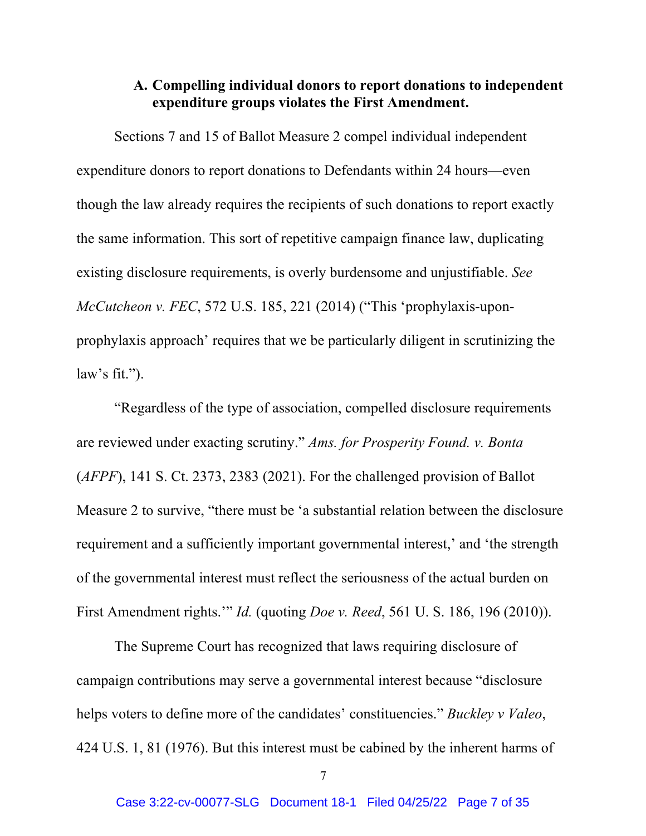### **A. Compelling individual donors to report donations to independent expenditure groups violates the First Amendment.**

Sections 7 and 15 of Ballot Measure 2 compel individual independent expenditure donors to report donations to Defendants within 24 hours—even though the law already requires the recipients of such donations to report exactly the same information. This sort of repetitive campaign finance law, duplicating existing disclosure requirements, is overly burdensome and unjustifiable. *See McCutcheon v. FEC*, 572 U.S. 185, 221 (2014) ("This 'prophylaxis-uponprophylaxis approach' requires that we be particularly diligent in scrutinizing the law's fit.").

"Regardless of the type of association, compelled disclosure requirements are reviewed under exacting scrutiny." *Ams. for Prosperity Found. v. Bonta* (*AFPF*), 141 S. Ct. 2373, 2383 (2021). For the challenged provision of Ballot Measure 2 to survive, "there must be 'a substantial relation between the disclosure requirement and a sufficiently important governmental interest,' and 'the strength of the governmental interest must reflect the seriousness of the actual burden on First Amendment rights.'" *Id.* (quoting *Doe v. Reed*, 561 U. S. 186, 196 (2010)).

The Supreme Court has recognized that laws requiring disclosure of campaign contributions may serve a governmental interest because "disclosure helps voters to define more of the candidates' constituencies." *Buckley v Valeo*, 424 U.S. 1, 81 (1976). But this interest must be cabined by the inherent harms of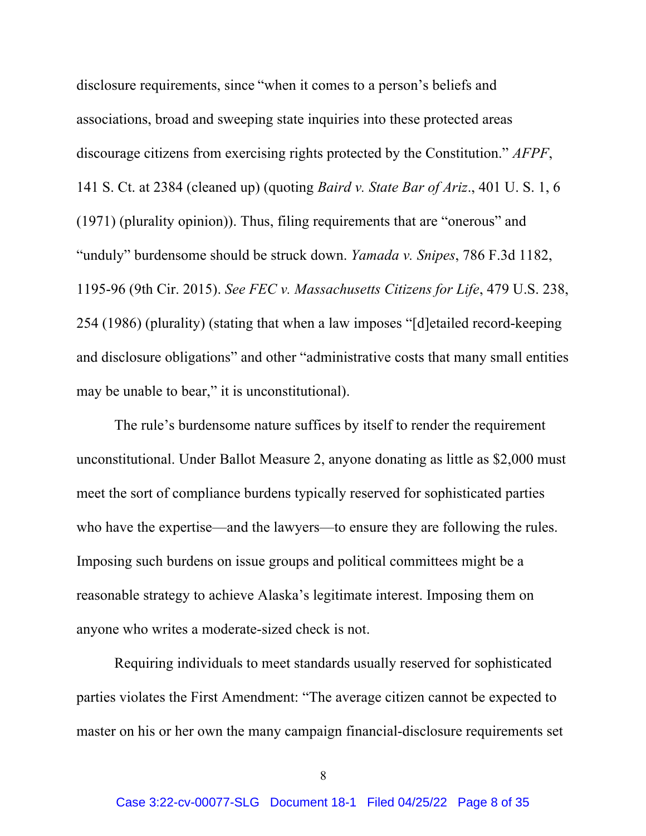disclosure requirements, since "when it comes to a person's beliefs and associations, broad and sweeping state inquiries into these protected areas discourage citizens from exercising rights protected by the Constitution." *AFPF*, 141 S. Ct. at 2384 (cleaned up) (quoting *Baird v. State Bar of Ariz*., 401 U. S. 1, 6 (1971) (plurality opinion)). Thus, filing requirements that are "onerous" and "unduly" burdensome should be struck down. *Yamada v. Snipes*, 786 F.3d 1182, 1195-96 (9th Cir. 2015). *See FEC v. Massachusetts Citizens for Life*, 479 U.S. 238, 254 (1986) (plurality) (stating that when a law imposes "[d]etailed record-keeping and disclosure obligations" and other "administrative costs that many small entities may be unable to bear," it is unconstitutional).

The rule's burdensome nature suffices by itself to render the requirement unconstitutional. Under Ballot Measure 2, anyone donating as little as \$2,000 must meet the sort of compliance burdens typically reserved for sophisticated parties who have the expertise—and the lawyers—to ensure they are following the rules. Imposing such burdens on issue groups and political committees might be a reasonable strategy to achieve Alaska's legitimate interest. Imposing them on anyone who writes a moderate-sized check is not.

Requiring individuals to meet standards usually reserved for sophisticated parties violates the First Amendment: "The average citizen cannot be expected to master on his or her own the many campaign financial-disclosure requirements set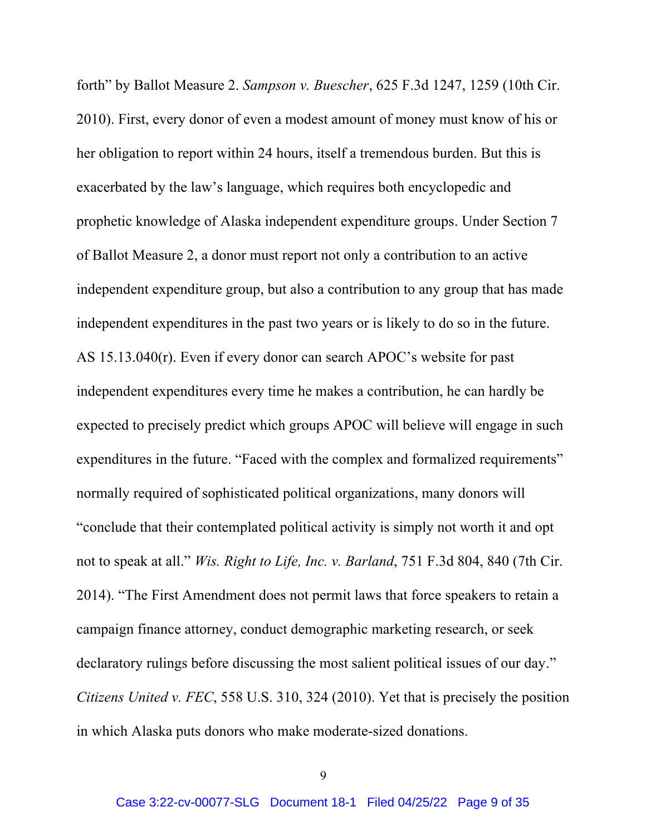forth" by Ballot Measure 2. *Sampson v. Buescher*, 625 F.3d 1247, 1259 (10th Cir. 2010). First, every donor of even a modest amount of money must know of his or her obligation to report within 24 hours, itself a tremendous burden. But this is exacerbated by the law's language, which requires both encyclopedic and prophetic knowledge of Alaska independent expenditure groups. Under Section 7 of Ballot Measure 2, a donor must report not only a contribution to an active independent expenditure group, but also a contribution to any group that has made independent expenditures in the past two years or is likely to do so in the future. AS 15.13.040(r). Even if every donor can search APOC's website for past independent expenditures every time he makes a contribution, he can hardly be expected to precisely predict which groups APOC will believe will engage in such expenditures in the future. "Faced with the complex and formalized requirements" normally required of sophisticated political organizations, many donors will "conclude that their contemplated political activity is simply not worth it and opt not to speak at all." *Wis. Right to Life, Inc. v. Barland*, 751 F.3d 804, 840 (7th Cir. 2014). "The First Amendment does not permit laws that force speakers to retain a campaign finance attorney, conduct demographic marketing research, or seek declaratory rulings before discussing the most salient political issues of our day." *Citizens United v. FEC*, 558 U.S. 310, 324 (2010). Yet that is precisely the position in which Alaska puts donors who make moderate-sized donations.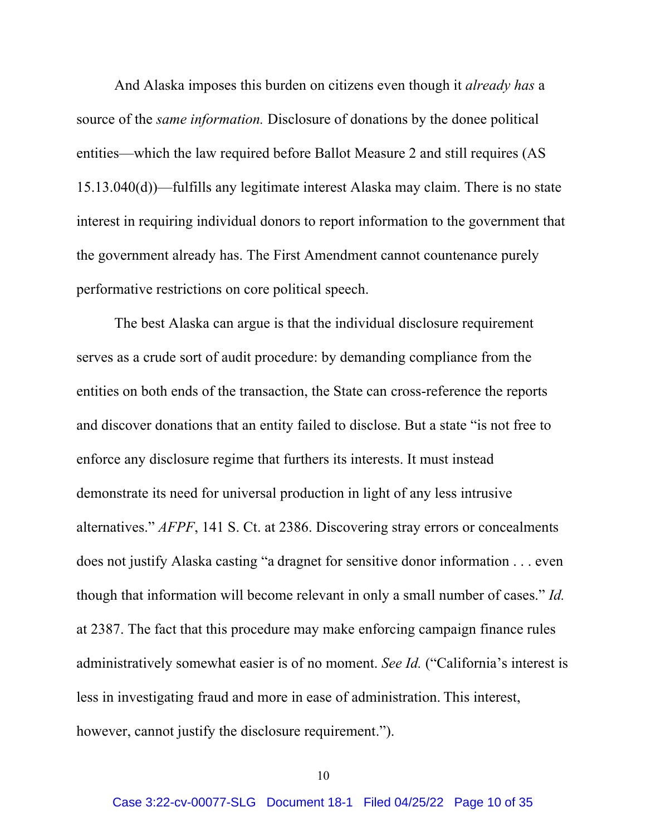And Alaska imposes this burden on citizens even though it *already has* a source of the *same information.* Disclosure of donations by the donee political entities—which the law required before Ballot Measure 2 and still requires (AS 15.13.040(d))—fulfills any legitimate interest Alaska may claim. There is no state interest in requiring individual donors to report information to the government that the government already has. The First Amendment cannot countenance purely performative restrictions on core political speech.

The best Alaska can argue is that the individual disclosure requirement serves as a crude sort of audit procedure: by demanding compliance from the entities on both ends of the transaction, the State can cross-reference the reports and discover donations that an entity failed to disclose. But a state "is not free to enforce any disclosure regime that furthers its interests. It must instead demonstrate its need for universal production in light of any less intrusive alternatives." *AFPF*, 141 S. Ct. at 2386. Discovering stray errors or concealments does not justify Alaska casting "a dragnet for sensitive donor information . . . even though that information will become relevant in only a small number of cases." *Id.*  at 2387. The fact that this procedure may make enforcing campaign finance rules administratively somewhat easier is of no moment. *See Id.* ("California's interest is less in investigating fraud and more in ease of administration. This interest, however, cannot justify the disclosure requirement.").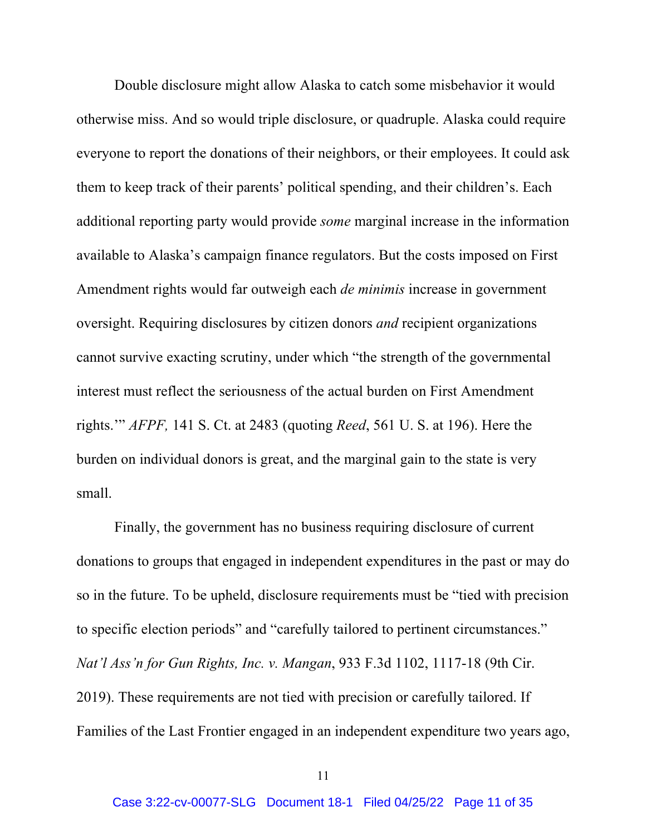Double disclosure might allow Alaska to catch some misbehavior it would otherwise miss. And so would triple disclosure, or quadruple. Alaska could require everyone to report the donations of their neighbors, or their employees. It could ask them to keep track of their parents' political spending, and their children's. Each additional reporting party would provide *some* marginal increase in the information available to Alaska's campaign finance regulators. But the costs imposed on First Amendment rights would far outweigh each *de minimis* increase in government oversight. Requiring disclosures by citizen donors *and* recipient organizations cannot survive exacting scrutiny, under which "the strength of the governmental interest must reflect the seriousness of the actual burden on First Amendment rights.'" *AFPF,* 141 S. Ct. at 2483 (quoting *Reed*, 561 U. S. at 196). Here the burden on individual donors is great, and the marginal gain to the state is very small.

Finally, the government has no business requiring disclosure of current donations to groups that engaged in independent expenditures in the past or may do so in the future. To be upheld, disclosure requirements must be "tied with precision to specific election periods" and "carefully tailored to pertinent circumstances." *Nat'l Ass'n for Gun Rights, Inc. v. Mangan*, 933 F.3d 1102, 1117-18 (9th Cir. 2019). These requirements are not tied with precision or carefully tailored. If Families of the Last Frontier engaged in an independent expenditure two years ago,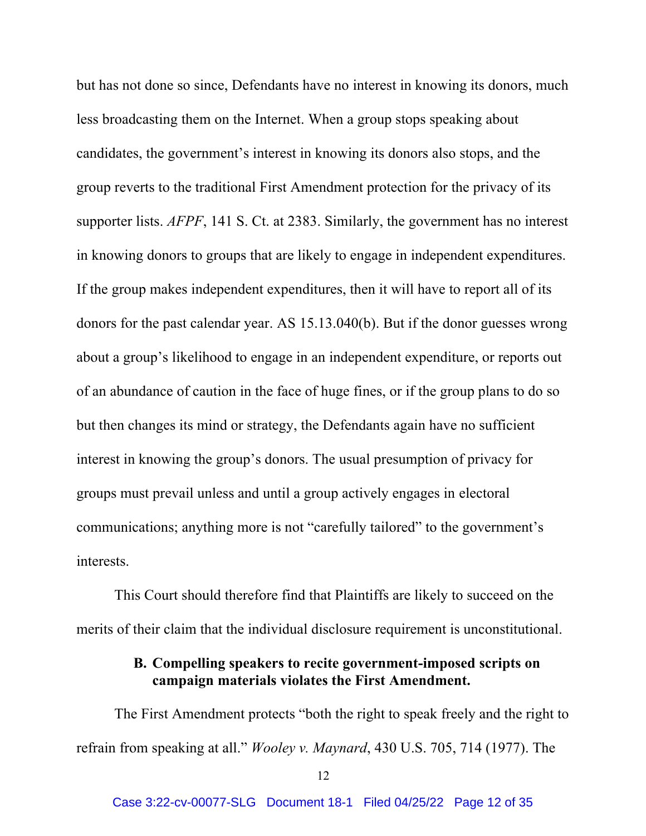but has not done so since, Defendants have no interest in knowing its donors, much less broadcasting them on the Internet. When a group stops speaking about candidates, the government's interest in knowing its donors also stops, and the group reverts to the traditional First Amendment protection for the privacy of its supporter lists. *AFPF*, 141 S. Ct. at 2383. Similarly, the government has no interest in knowing donors to groups that are likely to engage in independent expenditures. If the group makes independent expenditures, then it will have to report all of its donors for the past calendar year. AS 15.13.040(b). But if the donor guesses wrong about a group's likelihood to engage in an independent expenditure, or reports out of an abundance of caution in the face of huge fines, or if the group plans to do so but then changes its mind or strategy, the Defendants again have no sufficient interest in knowing the group's donors. The usual presumption of privacy for groups must prevail unless and until a group actively engages in electoral communications; anything more is not "carefully tailored" to the government's interests.

This Court should therefore find that Plaintiffs are likely to succeed on the merits of their claim that the individual disclosure requirement is unconstitutional.

## **B. Compelling speakers to recite government-imposed scripts on campaign materials violates the First Amendment.**

The First Amendment protects "both the right to speak freely and the right to refrain from speaking at all." *Wooley v. Maynard*, 430 U.S. 705, 714 (1977). The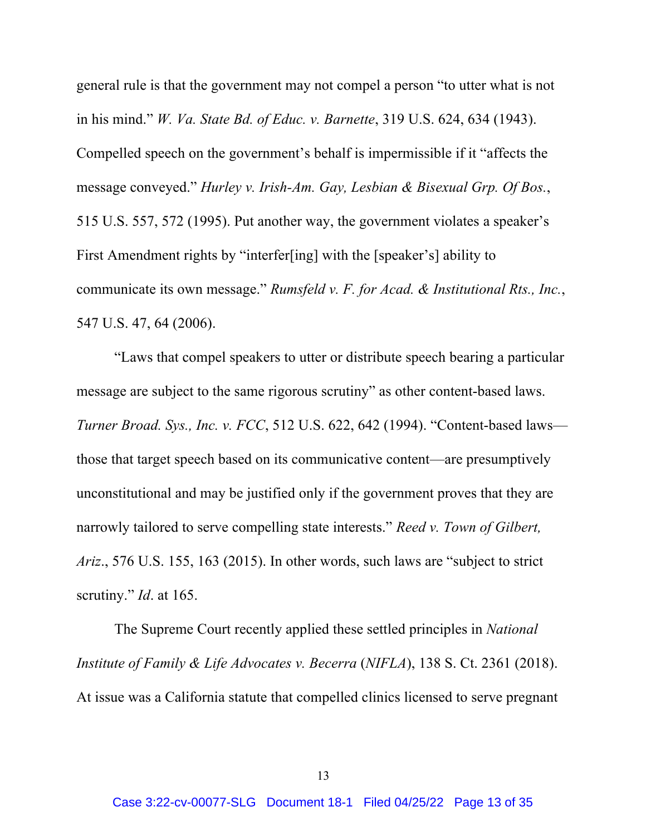general rule is that the government may not compel a person "to utter what is not in his mind." *W. Va. State Bd. of Educ. v. Barnette*, 319 U.S. 624, 634 (1943). Compelled speech on the government's behalf is impermissible if it "affects the message conveyed." *Hurley v. Irish-Am. Gay, Lesbian & Bisexual Grp. Of Bos.*, 515 U.S. 557, 572 (1995). Put another way, the government violates a speaker's First Amendment rights by "interfer[ing] with the [speaker's] ability to communicate its own message." *Rumsfeld v. F. for Acad. & Institutional Rts., Inc.*, 547 U.S. 47, 64 (2006).

"Laws that compel speakers to utter or distribute speech bearing a particular message are subject to the same rigorous scrutiny" as other content-based laws. *Turner Broad. Sys., Inc. v. FCC*, 512 U.S. 622, 642 (1994). "Content-based laws those that target speech based on its communicative content—are presumptively unconstitutional and may be justified only if the government proves that they are narrowly tailored to serve compelling state interests." *Reed v. Town of Gilbert, Ariz*., 576 U.S. 155, 163 (2015). In other words, such laws are "subject to strict scrutiny." *Id.* at 165.

The Supreme Court recently applied these settled principles in *National Institute of Family & Life Advocates v. Becerra* (*NIFLA*), 138 S. Ct. 2361 (2018). At issue was a California statute that compelled clinics licensed to serve pregnant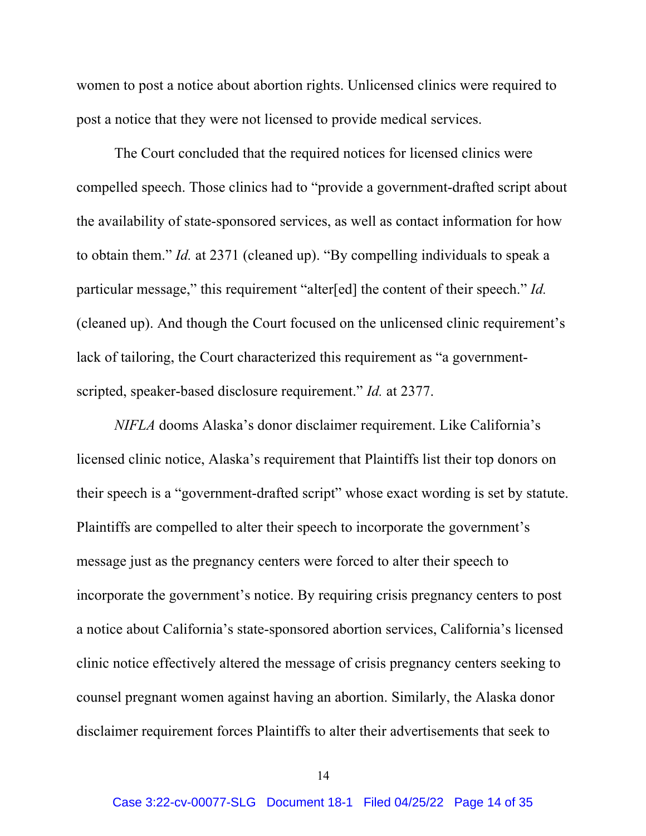women to post a notice about abortion rights. Unlicensed clinics were required to post a notice that they were not licensed to provide medical services.

The Court concluded that the required notices for licensed clinics were compelled speech. Those clinics had to "provide a government-drafted script about the availability of state-sponsored services, as well as contact information for how to obtain them." *Id.* at 2371 (cleaned up). "By compelling individuals to speak a particular message," this requirement "alter[ed] the content of their speech." *Id.*  (cleaned up). And though the Court focused on the unlicensed clinic requirement's lack of tailoring, the Court characterized this requirement as "a governmentscripted, speaker-based disclosure requirement." *Id.* at 2377.

*NIFLA* dooms Alaska's donor disclaimer requirement. Like California's licensed clinic notice, Alaska's requirement that Plaintiffs list their top donors on their speech is a "government-drafted script" whose exact wording is set by statute. Plaintiffs are compelled to alter their speech to incorporate the government's message just as the pregnancy centers were forced to alter their speech to incorporate the government's notice. By requiring crisis pregnancy centers to post a notice about California's state-sponsored abortion services, California's licensed clinic notice effectively altered the message of crisis pregnancy centers seeking to counsel pregnant women against having an abortion. Similarly, the Alaska donor disclaimer requirement forces Plaintiffs to alter their advertisements that seek to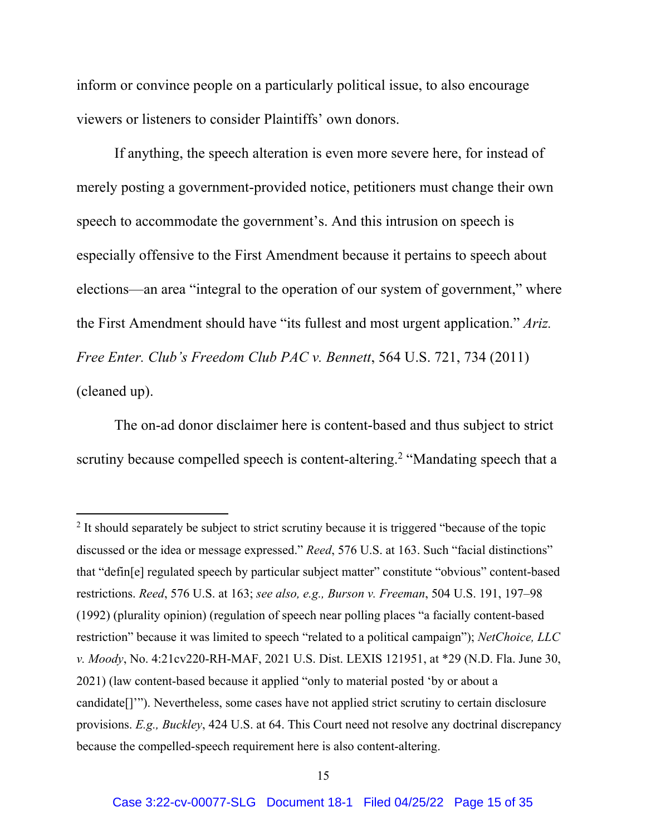inform or convince people on a particularly political issue, to also encourage viewers or listeners to consider Plaintiffs' own donors.

If anything, the speech alteration is even more severe here, for instead of merely posting a government-provided notice, petitioners must change their own speech to accommodate the government's. And this intrusion on speech is especially offensive to the First Amendment because it pertains to speech about elections—an area "integral to the operation of our system of government," where the First Amendment should have "its fullest and most urgent application." *Ariz. Free Enter. Club's Freedom Club PAC v. Bennett*, 564 U.S. 721, 734 (2011) (cleaned up).

The on-ad donor disclaimer here is content-based and thus subject to strict scrutiny because compelled speech is content-altering.<sup>2</sup> "Mandating speech that a

<sup>&</sup>lt;sup>2</sup> It should separately be subject to strict scrutiny because it is triggered "because of the topic discussed or the idea or message expressed." *Reed*, 576 U.S. at 163. Such "facial distinctions" that "defin[e] regulated speech by particular subject matter" constitute "obvious" content-based restrictions. *Reed*, 576 U.S. at 163; *see also, e.g., Burson v. Freeman*, 504 U.S. 191, 197–98 (1992) (plurality opinion) (regulation of speech near polling places "a facially content-based restriction" because it was limited to speech "related to a political campaign"); *NetChoice, LLC v. Moody*, No. 4:21cv220-RH-MAF, 2021 U.S. Dist. LEXIS 121951, at \*29 (N.D. Fla. June 30, 2021) (law content-based because it applied "only to material posted 'by or about a candidate[]'"). Nevertheless, some cases have not applied strict scrutiny to certain disclosure provisions. *E.g., Buckley*, 424 U.S. at 64. This Court need not resolve any doctrinal discrepancy because the compelled-speech requirement here is also content-altering.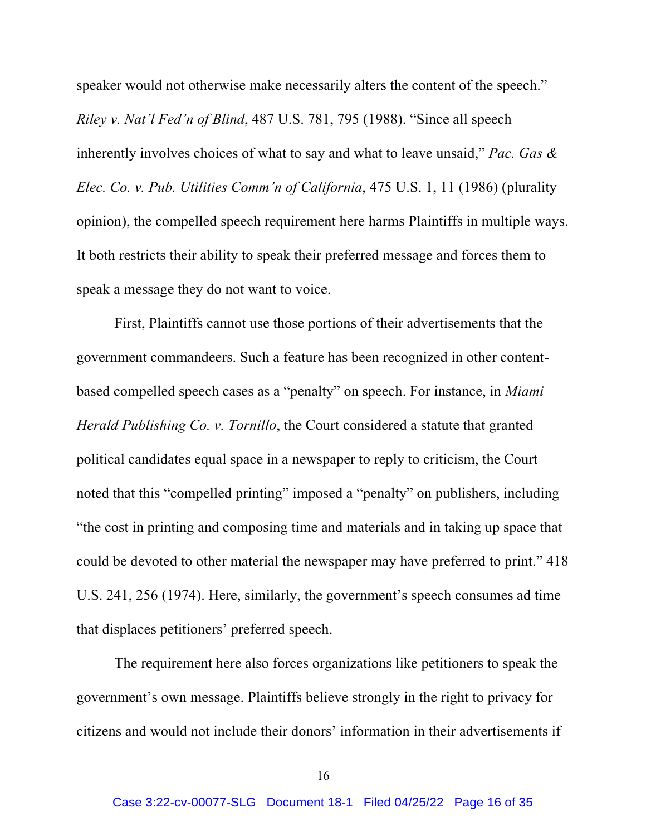speaker would not otherwise make necessarily alters the content of the speech." *Riley v. Nat'l Fed'n of Blind*, 487 U.S. 781, 795 (1988). "Since all speech inherently involves choices of what to say and what to leave unsaid," *Pac. Gas & Elec. Co. v. Pub. Utilities Comm'n of California*, 475 U.S. 1, 11 (1986) (plurality opinion), the compelled speech requirement here harms Plaintiffs in multiple ways. It both restricts their ability to speak their preferred message and forces them to speak a message they do not want to voice.

First, Plaintiffs cannot use those portions of their advertisements that the government commandeers. Such a feature has been recognized in other contentbased compelled speech cases as a "penalty" on speech. For instance, in *Miami Herald Publishing Co. v. Tornillo*, the Court considered a statute that granted political candidates equal space in a newspaper to reply to criticism, the Court noted that this "compelled printing" imposed a "penalty" on publishers, including "the cost in printing and composing time and materials and in taking up space that could be devoted to other material the newspaper may have preferred to print." 418 U.S. 241, 256 (1974). Here, similarly, the government's speech consumes ad time that displaces petitioners' preferred speech.

The requirement here also forces organizations like petitioners to speak the government's own message. Plaintiffs believe strongly in the right to privacy for citizens and would not include their donors' information in their advertisements if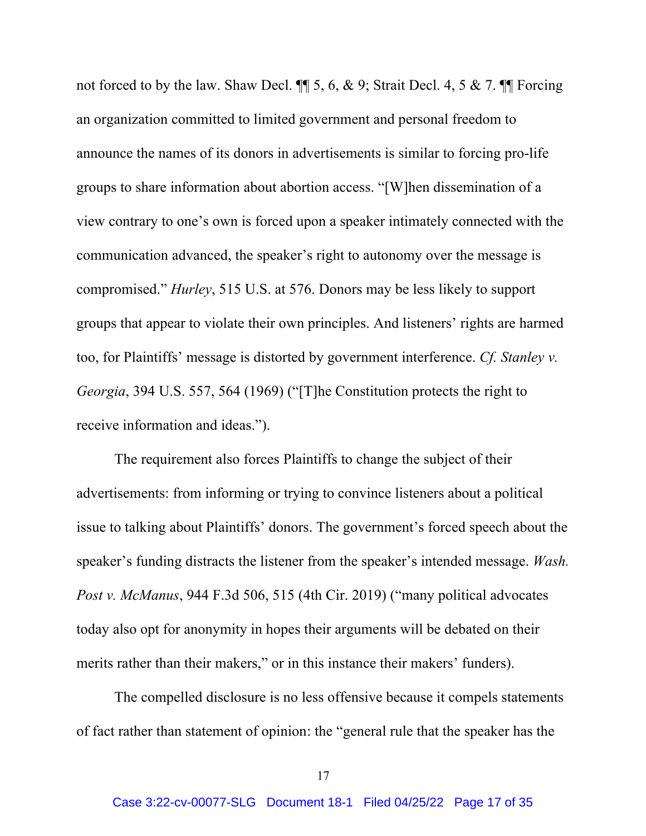not forced to by the law. Shaw Decl. ¶¶ 5, 6, & 9; Strait Decl. 4, 5 & 7. ¶¶ Forcing an organization committed to limited government and personal freedom to announce the names of its donors in advertisements is similar to forcing pro-life groups to share information about abortion access. "[W]hen dissemination of a view contrary to one's own is forced upon a speaker intimately connected with the communication advanced, the speaker's right to autonomy over the message is compromised." *Hurley*, 515 U.S. at 576. Donors may be less likely to support groups that appear to violate their own principles. And listeners' rights are harmed too, for Plaintiffs' message is distorted by government interference. *Cf. Stanley v. Georgia*, 394 U.S. 557, 564 (1969) ("[T]he Constitution protects the right to receive information and ideas.").

The requirement also forces Plaintiffs to change the subject of their advertisements: from informing or trying to convince listeners about a political issue to talking about Plaintiffs' donors. The government's forced speech about the speaker's funding distracts the listener from the speaker's intended message. *Wash. Post v. McManus*, 944 F.3d 506, 515 (4th Cir. 2019) ("many political advocates today also opt for anonymity in hopes their arguments will be debated on their merits rather than their makers," or in this instance their makers' funders).

The compelled disclosure is no less offensive because it compels statements of fact rather than statement of opinion: the "general rule that the speaker has the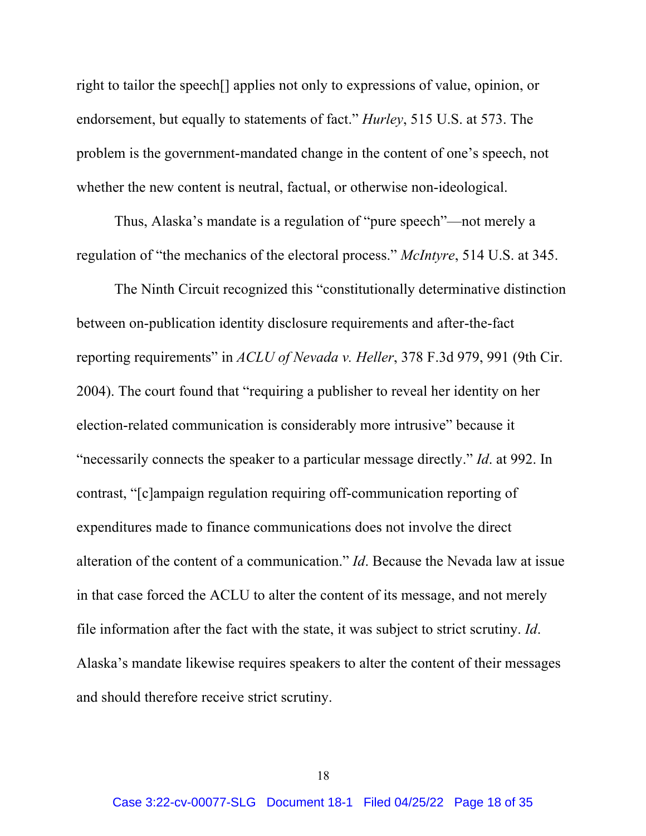right to tailor the speech[] applies not only to expressions of value, opinion, or endorsement, but equally to statements of fact." *Hurley*, 515 U.S. at 573. The problem is the government-mandated change in the content of one's speech, not whether the new content is neutral, factual, or otherwise non-ideological.

Thus, Alaska's mandate is a regulation of "pure speech"—not merely a regulation of "the mechanics of the electoral process." *McIntyre*, 514 U.S. at 345.

The Ninth Circuit recognized this "constitutionally determinative distinction between on-publication identity disclosure requirements and after-the-fact reporting requirements" in *ACLU of Nevada v. Heller*, 378 F.3d 979, 991 (9th Cir. 2004). The court found that "requiring a publisher to reveal her identity on her election-related communication is considerably more intrusive" because it "necessarily connects the speaker to a particular message directly." *Id*. at 992. In contrast, "[c]ampaign regulation requiring off-communication reporting of expenditures made to finance communications does not involve the direct alteration of the content of a communication." *Id*. Because the Nevada law at issue in that case forced the ACLU to alter the content of its message, and not merely file information after the fact with the state, it was subject to strict scrutiny. *Id*. Alaska's mandate likewise requires speakers to alter the content of their messages and should therefore receive strict scrutiny.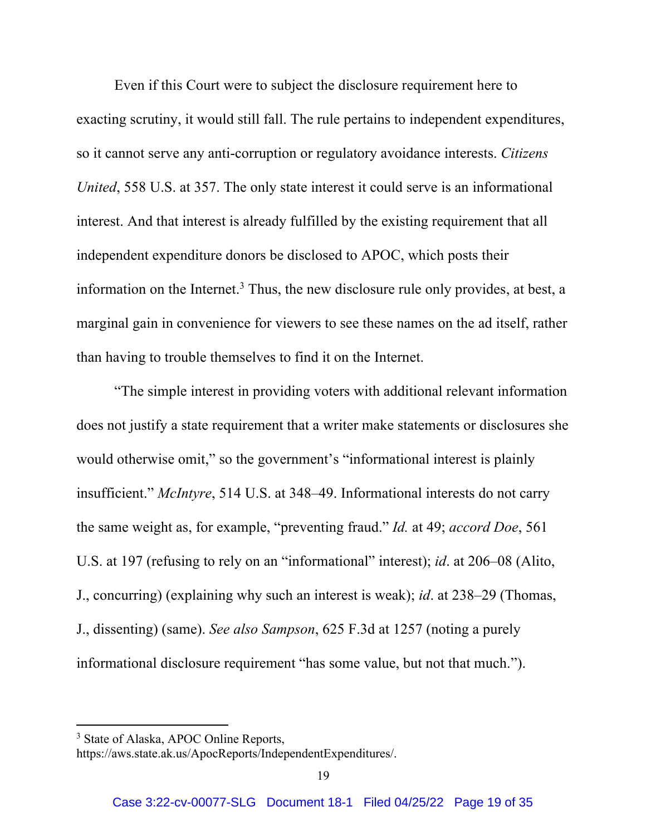Even if this Court were to subject the disclosure requirement here to exacting scrutiny, it would still fall. The rule pertains to independent expenditures, so it cannot serve any anti-corruption or regulatory avoidance interests. *Citizens United*, 558 U.S. at 357. The only state interest it could serve is an informational interest. And that interest is already fulfilled by the existing requirement that all independent expenditure donors be disclosed to APOC, which posts their information on the Internet.<sup>3</sup> Thus, the new disclosure rule only provides, at best, a marginal gain in convenience for viewers to see these names on the ad itself, rather than having to trouble themselves to find it on the Internet.

"The simple interest in providing voters with additional relevant information does not justify a state requirement that a writer make statements or disclosures she would otherwise omit," so the government's "informational interest is plainly insufficient." *McIntyre*, 514 U.S. at 348–49. Informational interests do not carry the same weight as, for example, "preventing fraud." *Id.* at 49; *accord Doe*, 561 U.S. at 197 (refusing to rely on an "informational" interest); *id*. at 206–08 (Alito, J., concurring) (explaining why such an interest is weak); *id*. at 238–29 (Thomas, J., dissenting) (same). *See also Sampson*, 625 F.3d at 1257 (noting a purely informational disclosure requirement "has some value, but not that much.").

<sup>&</sup>lt;sup>3</sup> State of Alaska, APOC Online Reports,

https://aws.state.ak.us/ApocReports/IndependentExpenditures/.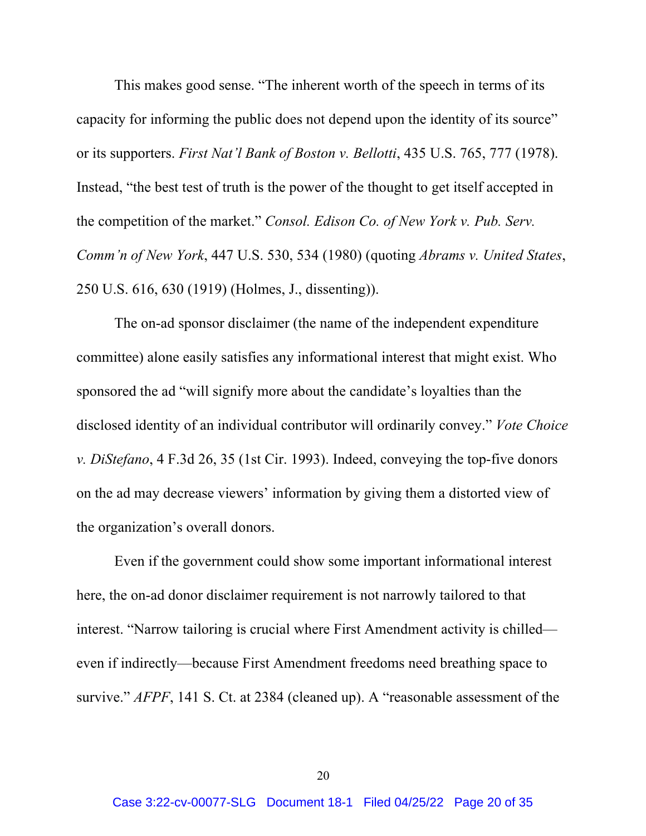This makes good sense. "The inherent worth of the speech in terms of its capacity for informing the public does not depend upon the identity of its source" or its supporters. *First Nat'l Bank of Boston v. Bellotti*, 435 U.S. 765, 777 (1978). Instead, "the best test of truth is the power of the thought to get itself accepted in the competition of the market." *Consol. Edison Co. of New York v. Pub. Serv. Comm'n of New York*, 447 U.S. 530, 534 (1980) (quoting *Abrams v. United States*, 250 U.S. 616, 630 (1919) (Holmes, J., dissenting)).

The on-ad sponsor disclaimer (the name of the independent expenditure committee) alone easily satisfies any informational interest that might exist. Who sponsored the ad "will signify more about the candidate's loyalties than the disclosed identity of an individual contributor will ordinarily convey." *Vote Choice v. DiStefano*, 4 F.3d 26, 35 (1st Cir. 1993). Indeed, conveying the top-five donors on the ad may decrease viewers' information by giving them a distorted view of the organization's overall donors.

Even if the government could show some important informational interest here, the on-ad donor disclaimer requirement is not narrowly tailored to that interest. "Narrow tailoring is crucial where First Amendment activity is chilled even if indirectly—because First Amendment freedoms need breathing space to survive." *AFPF*, 141 S. Ct. at 2384 (cleaned up). A "reasonable assessment of the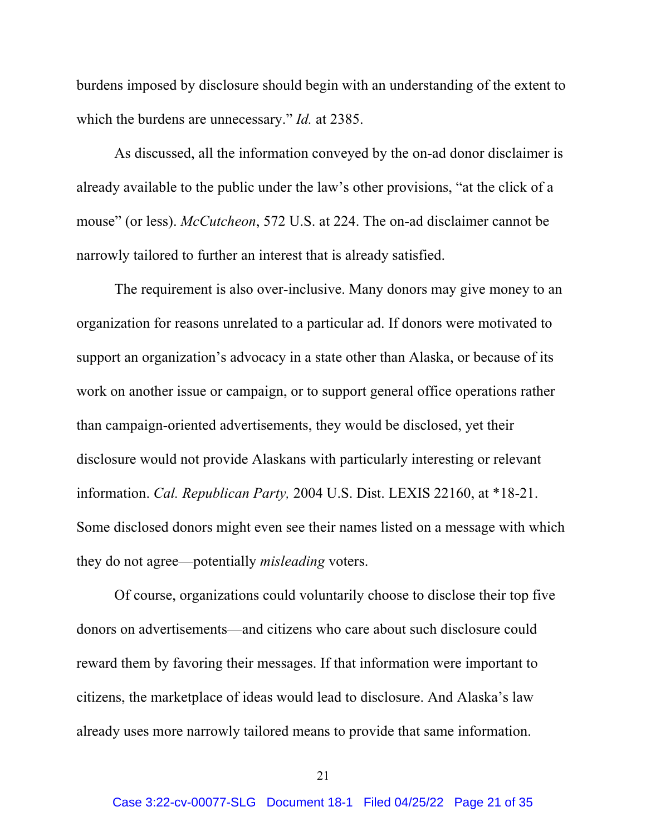burdens imposed by disclosure should begin with an understanding of the extent to which the burdens are unnecessary." *Id.* at 2385.

As discussed, all the information conveyed by the on-ad donor disclaimer is already available to the public under the law's other provisions, "at the click of a mouse" (or less). *McCutcheon*, 572 U.S. at 224. The on-ad disclaimer cannot be narrowly tailored to further an interest that is already satisfied.

The requirement is also over-inclusive. Many donors may give money to an organization for reasons unrelated to a particular ad. If donors were motivated to support an organization's advocacy in a state other than Alaska, or because of its work on another issue or campaign, or to support general office operations rather than campaign-oriented advertisements, they would be disclosed, yet their disclosure would not provide Alaskans with particularly interesting or relevant information. *Cal. Republican Party,* 2004 U.S. Dist. LEXIS 22160, at \*18-21. Some disclosed donors might even see their names listed on a message with which they do not agree—potentially *misleading* voters.

Of course, organizations could voluntarily choose to disclose their top five donors on advertisements—and citizens who care about such disclosure could reward them by favoring their messages. If that information were important to citizens, the marketplace of ideas would lead to disclosure. And Alaska's law already uses more narrowly tailored means to provide that same information.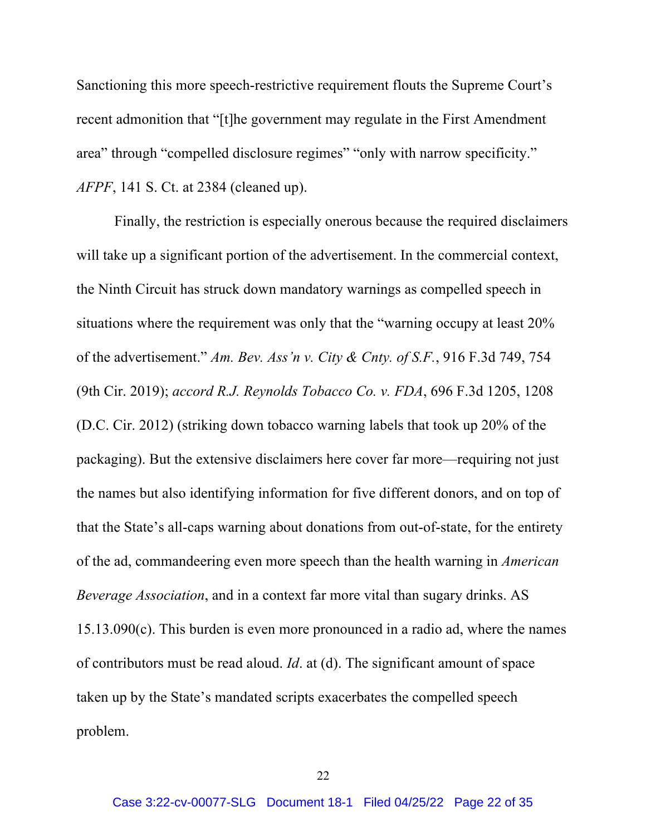Sanctioning this more speech-restrictive requirement flouts the Supreme Court's recent admonition that "[t]he government may regulate in the First Amendment area" through "compelled disclosure regimes" "only with narrow specificity." *AFPF*, 141 S. Ct. at 2384 (cleaned up).

Finally, the restriction is especially onerous because the required disclaimers will take up a significant portion of the advertisement. In the commercial context, the Ninth Circuit has struck down mandatory warnings as compelled speech in situations where the requirement was only that the "warning occupy at least 20% of the advertisement." *Am. Bev. Ass'n v. City & Cnty. of S.F.*, 916 F.3d 749, 754 (9th Cir. 2019); *accord R.J. Reynolds Tobacco Co. v. FDA*, 696 F.3d 1205, 1208 (D.C. Cir. 2012) (striking down tobacco warning labels that took up 20% of the packaging). But the extensive disclaimers here cover far more—requiring not just the names but also identifying information for five different donors, and on top of that the State's all-caps warning about donations from out-of-state, for the entirety of the ad, commandeering even more speech than the health warning in *American Beverage Association*, and in a context far more vital than sugary drinks. AS 15.13.090(c). This burden is even more pronounced in a radio ad, where the names of contributors must be read aloud. *Id*. at (d). The significant amount of space taken up by the State's mandated scripts exacerbates the compelled speech problem.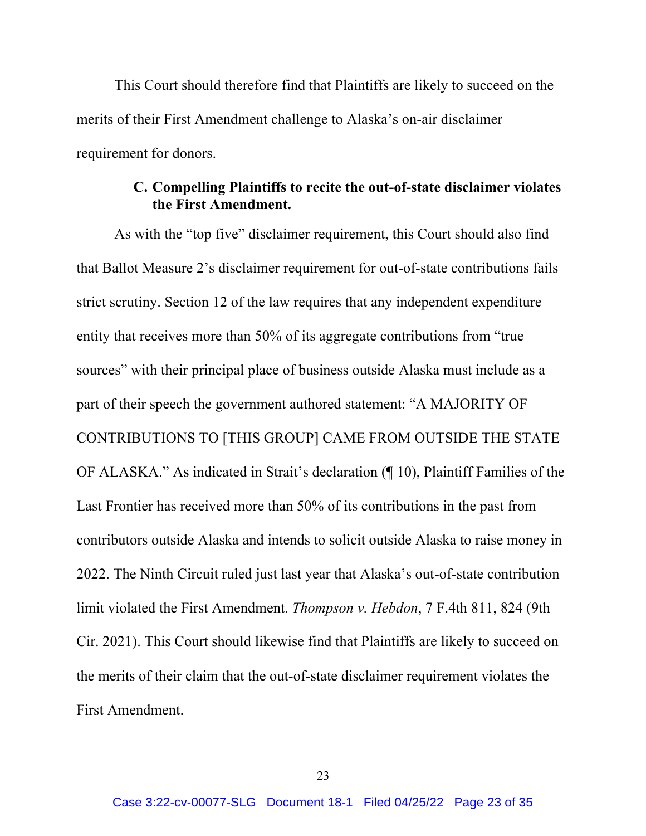This Court should therefore find that Plaintiffs are likely to succeed on the merits of their First Amendment challenge to Alaska's on-air disclaimer requirement for donors.

## **C. Compelling Plaintiffs to recite the out-of-state disclaimer violates the First Amendment.**

As with the "top five" disclaimer requirement, this Court should also find that Ballot Measure 2's disclaimer requirement for out-of-state contributions fails strict scrutiny. Section 12 of the law requires that any independent expenditure entity that receives more than 50% of its aggregate contributions from "true sources" with their principal place of business outside Alaska must include as a part of their speech the government authored statement: "A MAJORITY OF CONTRIBUTIONS TO [THIS GROUP] CAME FROM OUTSIDE THE STATE OF ALASKA." As indicated in Strait's declaration (¶ 10), Plaintiff Families of the Last Frontier has received more than 50% of its contributions in the past from contributors outside Alaska and intends to solicit outside Alaska to raise money in 2022. The Ninth Circuit ruled just last year that Alaska's out-of-state contribution limit violated the First Amendment. *Thompson v. Hebdon*, 7 F.4th 811, 824 (9th Cir. 2021). This Court should likewise find that Plaintiffs are likely to succeed on the merits of their claim that the out-of-state disclaimer requirement violates the First Amendment.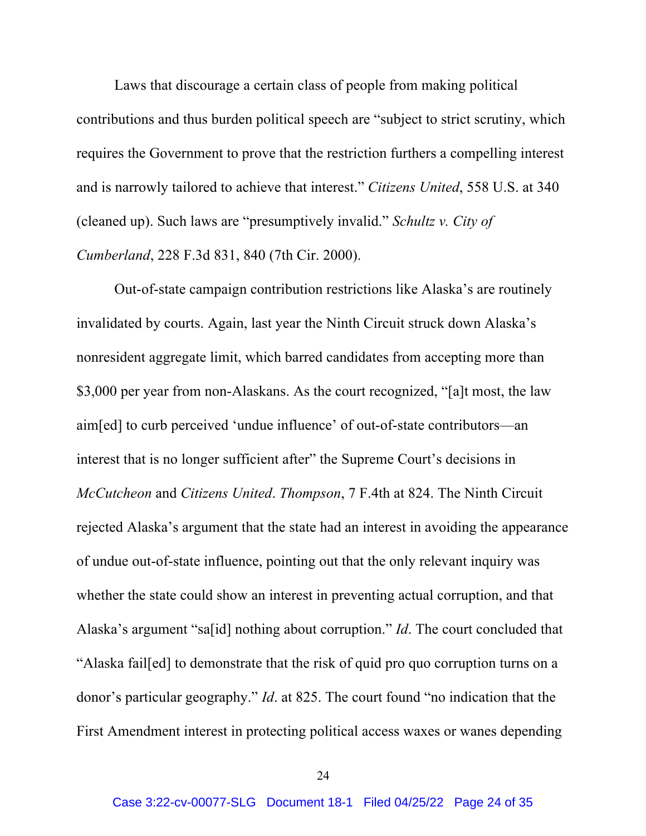Laws that discourage a certain class of people from making political contributions and thus burden political speech are "subject to strict scrutiny, which requires the Government to prove that the restriction furthers a compelling interest and is narrowly tailored to achieve that interest." *Citizens United*, 558 U.S. at 340 (cleaned up). Such laws are "presumptively invalid." *Schultz v. City of Cumberland*, 228 F.3d 831, 840 (7th Cir. 2000).

Out-of-state campaign contribution restrictions like Alaska's are routinely invalidated by courts. Again, last year the Ninth Circuit struck down Alaska's nonresident aggregate limit, which barred candidates from accepting more than \$3,000 per year from non-Alaskans. As the court recognized, "[a]t most, the law aim[ed] to curb perceived 'undue influence' of out-of-state contributors—an interest that is no longer sufficient after" the Supreme Court's decisions in *McCutcheon* and *Citizens United*. *Thompson*, 7 F.4th at 824. The Ninth Circuit rejected Alaska's argument that the state had an interest in avoiding the appearance of undue out-of-state influence, pointing out that the only relevant inquiry was whether the state could show an interest in preventing actual corruption, and that Alaska's argument "sa[id] nothing about corruption." *Id*. The court concluded that "Alaska fail[ed] to demonstrate that the risk of quid pro quo corruption turns on a donor's particular geography." *Id*. at 825. The court found "no indication that the First Amendment interest in protecting political access waxes or wanes depending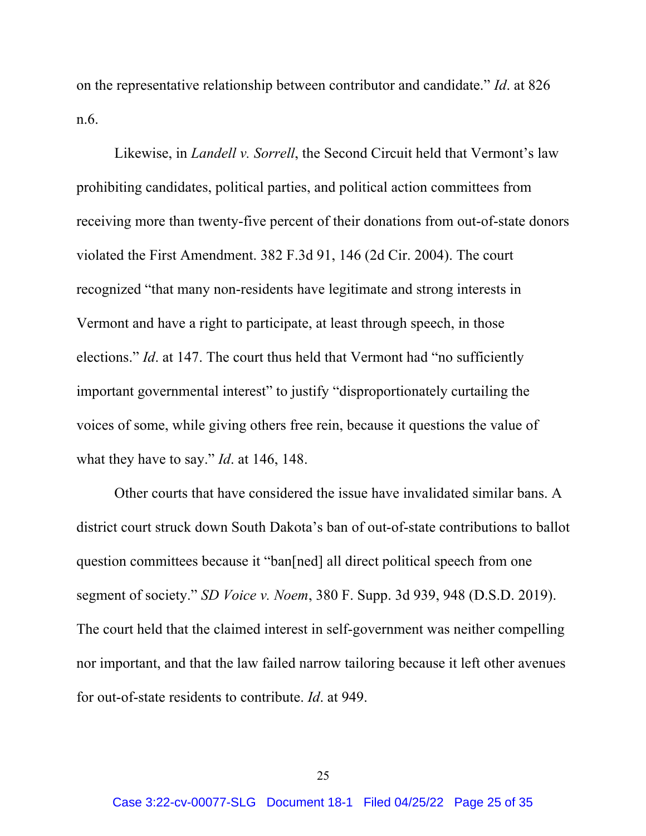on the representative relationship between contributor and candidate." *Id*. at 826 n.6.

Likewise, in *Landell v. Sorrell*, the Second Circuit held that Vermont's law prohibiting candidates, political parties, and political action committees from receiving more than twenty-five percent of their donations from out-of-state donors violated the First Amendment. 382 F.3d 91, 146 (2d Cir. 2004). The court recognized "that many non-residents have legitimate and strong interests in Vermont and have a right to participate, at least through speech, in those elections." *Id.* at 147. The court thus held that Vermont had "no sufficiently important governmental interest" to justify "disproportionately curtailing the voices of some, while giving others free rein, because it questions the value of what they have to say." *Id*. at 146, 148.

Other courts that have considered the issue have invalidated similar bans. A district court struck down South Dakota's ban of out-of-state contributions to ballot question committees because it "ban[ned] all direct political speech from one segment of society." *SD Voice v. Noem*, 380 F. Supp. 3d 939, 948 (D.S.D. 2019). The court held that the claimed interest in self-government was neither compelling nor important, and that the law failed narrow tailoring because it left other avenues for out-of-state residents to contribute. *Id*. at 949.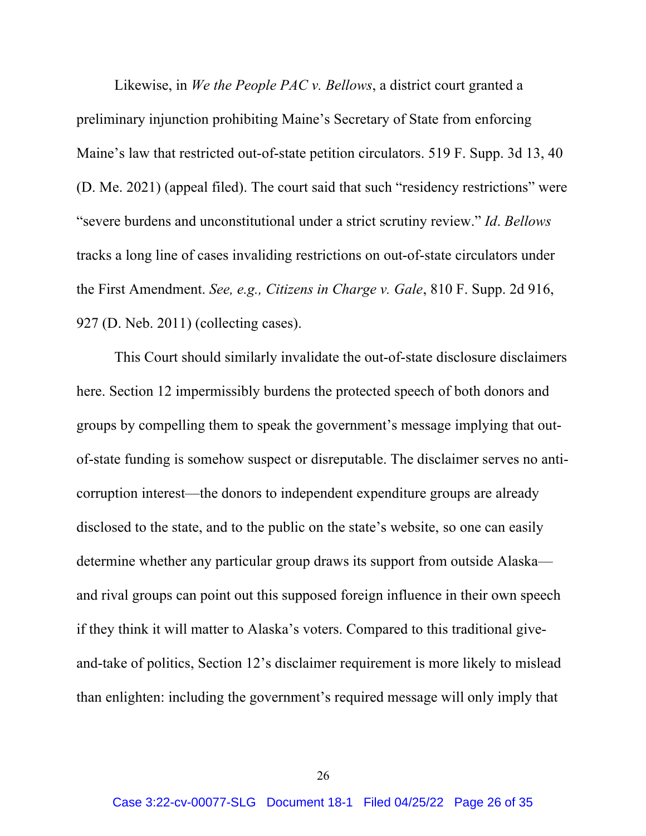Likewise, in *We the People PAC v. Bellows*, a district court granted a preliminary injunction prohibiting Maine's Secretary of State from enforcing Maine's law that restricted out-of-state petition circulators. 519 F. Supp. 3d 13, 40 (D. Me. 2021) (appeal filed). The court said that such "residency restrictions" were "severe burdens and unconstitutional under a strict scrutiny review." *Id*. *Bellows* tracks a long line of cases invaliding restrictions on out-of-state circulators under the First Amendment. *See, e.g., Citizens in Charge v. Gale*, 810 F. Supp. 2d 916, 927 (D. Neb. 2011) (collecting cases).

This Court should similarly invalidate the out-of-state disclosure disclaimers here. Section 12 impermissibly burdens the protected speech of both donors and groups by compelling them to speak the government's message implying that outof-state funding is somehow suspect or disreputable. The disclaimer serves no anticorruption interest—the donors to independent expenditure groups are already disclosed to the state, and to the public on the state's website, so one can easily determine whether any particular group draws its support from outside Alaska and rival groups can point out this supposed foreign influence in their own speech if they think it will matter to Alaska's voters. Compared to this traditional giveand-take of politics, Section 12's disclaimer requirement is more likely to mislead than enlighten: including the government's required message will only imply that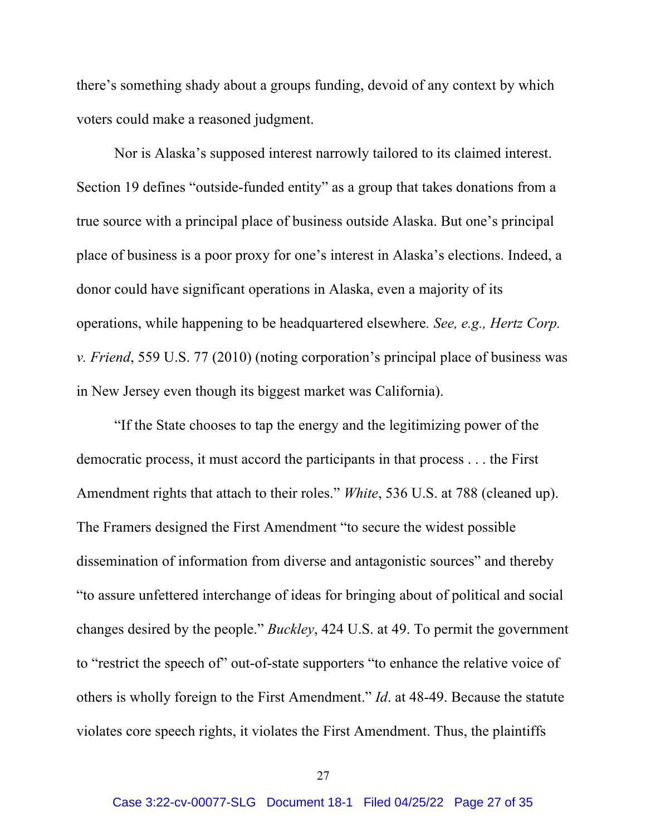there's something shady about a groups funding, devoid of any context by which voters could make a reasoned judgment.

Nor is Alaska's supposed interest narrowly tailored to its claimed interest. Section 19 defines "outside-funded entity" as a group that takes donations from a true source with a principal place of business outside Alaska. But one's principal place of business is a poor proxy for one's interest in Alaska's elections. Indeed, a donor could have significant operations in Alaska, even a majority of its operations, while happening to be headquartered elsewhere*. See, e.g., Hertz Corp. v. Friend*, 559 U.S. 77 (2010) (noting corporation's principal place of business was in New Jersey even though its biggest market was California).

"If the State chooses to tap the energy and the legitimizing power of the democratic process, it must accord the participants in that process . . . the First Amendment rights that attach to their roles." *White*, 536 U.S. at 788 (cleaned up). The Framers designed the First Amendment "to secure the widest possible dissemination of information from diverse and antagonistic sources" and thereby "to assure unfettered interchange of ideas for bringing about of political and social changes desired by the people." *Buckley*, 424 U.S. at 49. To permit the government to "restrict the speech of" out-of-state supporters "to enhance the relative voice of others is wholly foreign to the First Amendment." *Id*. at 48-49. Because the statute violates core speech rights, it violates the First Amendment. Thus, the plaintiffs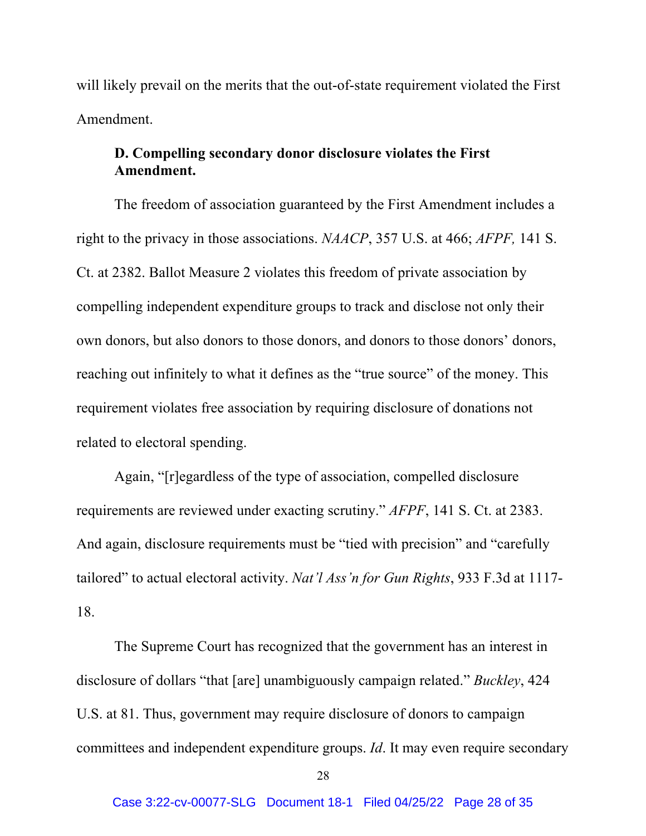will likely prevail on the merits that the out-of-state requirement violated the First Amendment.

# **D. Compelling secondary donor disclosure violates the First Amendment.**

The freedom of association guaranteed by the First Amendment includes a right to the privacy in those associations. *NAACP*, 357 U.S. at 466; *AFPF,* 141 S. Ct. at 2382. Ballot Measure 2 violates this freedom of private association by compelling independent expenditure groups to track and disclose not only their own donors, but also donors to those donors, and donors to those donors' donors, reaching out infinitely to what it defines as the "true source" of the money. This requirement violates free association by requiring disclosure of donations not related to electoral spending.

Again, "[r]egardless of the type of association, compelled disclosure requirements are reviewed under exacting scrutiny." *AFPF*, 141 S. Ct. at 2383. And again, disclosure requirements must be "tied with precision" and "carefully tailored" to actual electoral activity. *Nat'l Ass'n for Gun Rights*, 933 F.3d at 1117- 18.

The Supreme Court has recognized that the government has an interest in disclosure of dollars "that [are] unambiguously campaign related." *Buckley*, 424 U.S. at 81. Thus, government may require disclosure of donors to campaign committees and independent expenditure groups. *Id*. It may even require secondary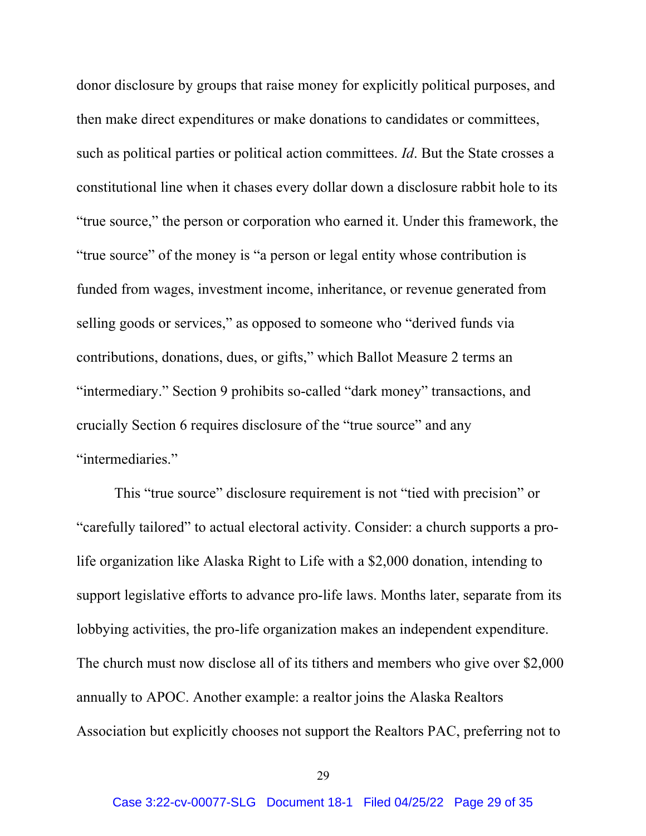donor disclosure by groups that raise money for explicitly political purposes, and then make direct expenditures or make donations to candidates or committees, such as political parties or political action committees. *Id*. But the State crosses a constitutional line when it chases every dollar down a disclosure rabbit hole to its "true source," the person or corporation who earned it. Under this framework, the "true source" of the money is "a person or legal entity whose contribution is funded from wages, investment income, inheritance, or revenue generated from selling goods or services," as opposed to someone who "derived funds via contributions, donations, dues, or gifts," which Ballot Measure 2 terms an "intermediary." Section 9 prohibits so-called "dark money" transactions, and crucially Section 6 requires disclosure of the "true source" and any "intermediaries."

This "true source" disclosure requirement is not "tied with precision" or "carefully tailored" to actual electoral activity. Consider: a church supports a prolife organization like Alaska Right to Life with a \$2,000 donation, intending to support legislative efforts to advance pro-life laws. Months later, separate from its lobbying activities, the pro-life organization makes an independent expenditure. The church must now disclose all of its tithers and members who give over \$2,000 annually to APOC. Another example: a realtor joins the Alaska Realtors Association but explicitly chooses not support the Realtors PAC, preferring not to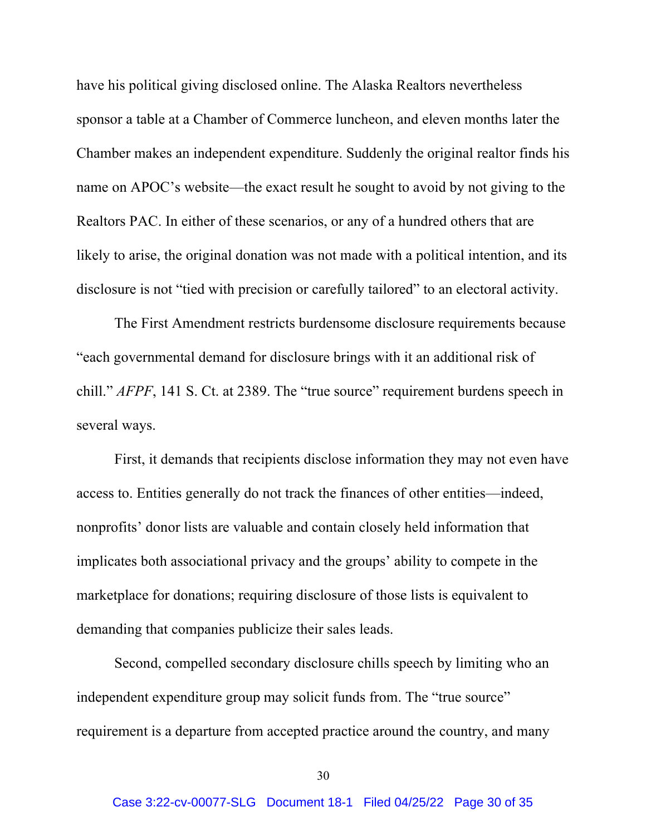have his political giving disclosed online. The Alaska Realtors nevertheless sponsor a table at a Chamber of Commerce luncheon, and eleven months later the Chamber makes an independent expenditure. Suddenly the original realtor finds his name on APOC's website—the exact result he sought to avoid by not giving to the Realtors PAC. In either of these scenarios, or any of a hundred others that are likely to arise, the original donation was not made with a political intention, and its disclosure is not "tied with precision or carefully tailored" to an electoral activity.

The First Amendment restricts burdensome disclosure requirements because "each governmental demand for disclosure brings with it an additional risk of chill." *AFPF*, 141 S. Ct. at 2389. The "true source" requirement burdens speech in several ways.

First, it demands that recipients disclose information they may not even have access to. Entities generally do not track the finances of other entities—indeed, nonprofits' donor lists are valuable and contain closely held information that implicates both associational privacy and the groups' ability to compete in the marketplace for donations; requiring disclosure of those lists is equivalent to demanding that companies publicize their sales leads.

Second, compelled secondary disclosure chills speech by limiting who an independent expenditure group may solicit funds from. The "true source" requirement is a departure from accepted practice around the country, and many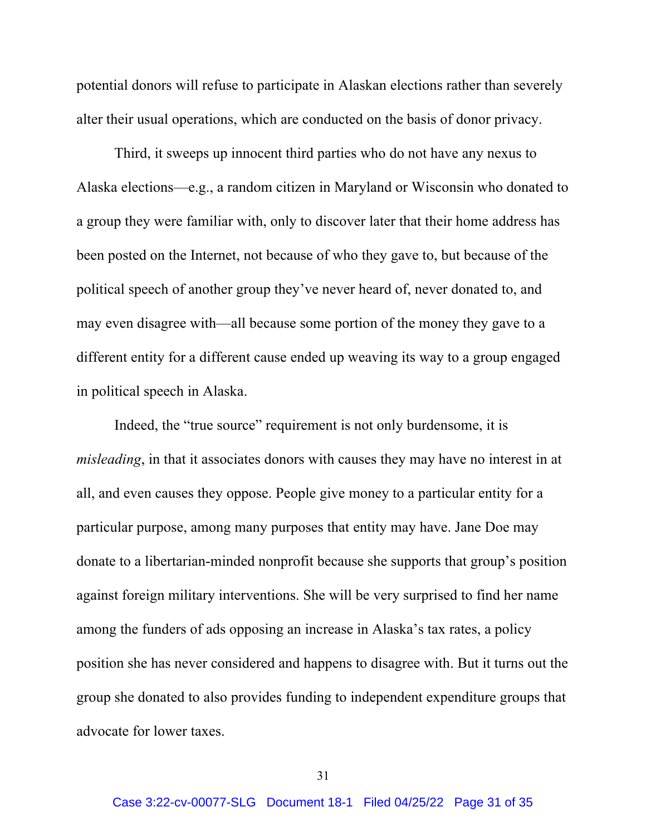potential donors will refuse to participate in Alaskan elections rather than severely alter their usual operations, which are conducted on the basis of donor privacy.

Third, it sweeps up innocent third parties who do not have any nexus to Alaska elections—e.g., a random citizen in Maryland or Wisconsin who donated to a group they were familiar with, only to discover later that their home address has been posted on the Internet, not because of who they gave to, but because of the political speech of another group they've never heard of, never donated to, and may even disagree with—all because some portion of the money they gave to a different entity for a different cause ended up weaving its way to a group engaged in political speech in Alaska.

Indeed, the "true source" requirement is not only burdensome, it is *misleading*, in that it associates donors with causes they may have no interest in at all, and even causes they oppose. People give money to a particular entity for a particular purpose, among many purposes that entity may have. Jane Doe may donate to a libertarian-minded nonprofit because she supports that group's position against foreign military interventions. She will be very surprised to find her name among the funders of ads opposing an increase in Alaska's tax rates, a policy position she has never considered and happens to disagree with. But it turns out the group she donated to also provides funding to independent expenditure groups that advocate for lower taxes.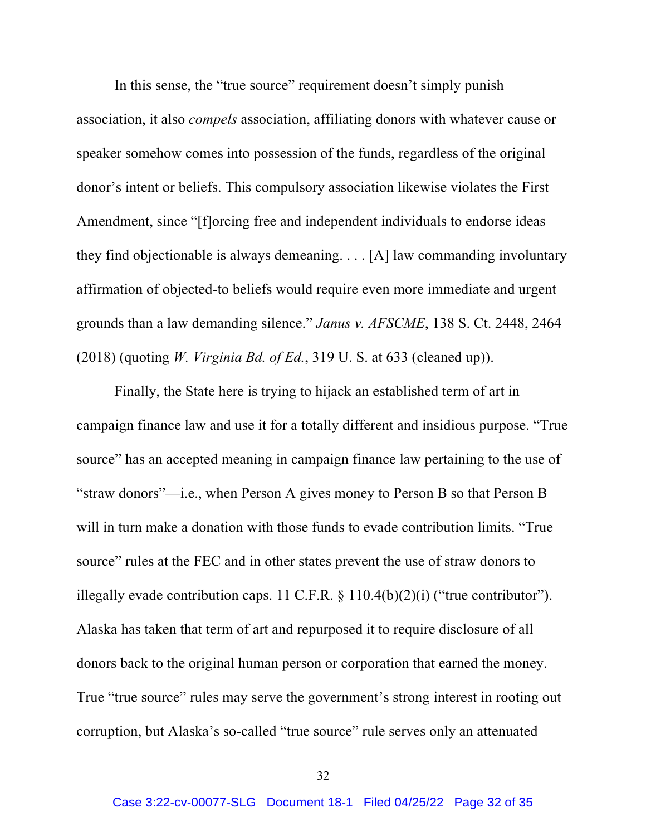In this sense, the "true source" requirement doesn't simply punish association, it also *compels* association, affiliating donors with whatever cause or speaker somehow comes into possession of the funds, regardless of the original donor's intent or beliefs. This compulsory association likewise violates the First Amendment, since "[f]orcing free and independent individuals to endorse ideas they find objectionable is always demeaning. . . . [A] law commanding involuntary affirmation of objected-to beliefs would require even more immediate and urgent grounds than a law demanding silence." *Janus v. AFSCME*, 138 S. Ct. 2448, 2464 (2018) (quoting *W. Virginia Bd. of Ed.*, 319 U. S. at 633 (cleaned up)).

Finally, the State here is trying to hijack an established term of art in campaign finance law and use it for a totally different and insidious purpose. "True source" has an accepted meaning in campaign finance law pertaining to the use of "straw donors"—i.e., when Person A gives money to Person B so that Person B will in turn make a donation with those funds to evade contribution limits. "True source" rules at the FEC and in other states prevent the use of straw donors to illegally evade contribution caps. 11 C.F.R. § 110.4(b)(2)(i) ("true contributor"). Alaska has taken that term of art and repurposed it to require disclosure of all donors back to the original human person or corporation that earned the money. True "true source" rules may serve the government's strong interest in rooting out corruption, but Alaska's so-called "true source" rule serves only an attenuated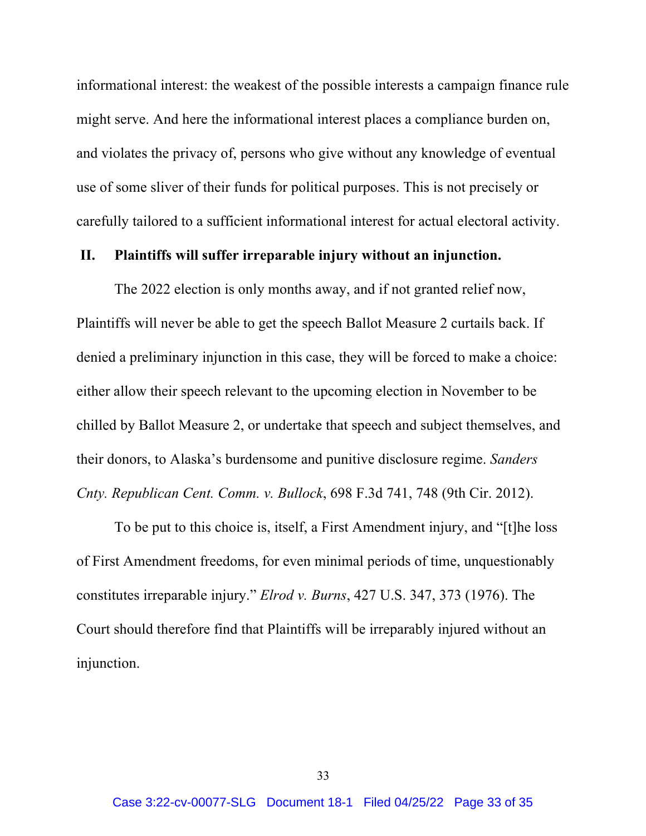informational interest: the weakest of the possible interests a campaign finance rule might serve. And here the informational interest places a compliance burden on, and violates the privacy of, persons who give without any knowledge of eventual use of some sliver of their funds for political purposes. This is not precisely or carefully tailored to a sufficient informational interest for actual electoral activity.

### **II. Plaintiffs will suffer irreparable injury without an injunction.**

The 2022 election is only months away, and if not granted relief now, Plaintiffs will never be able to get the speech Ballot Measure 2 curtails back. If denied a preliminary injunction in this case, they will be forced to make a choice: either allow their speech relevant to the upcoming election in November to be chilled by Ballot Measure 2, or undertake that speech and subject themselves, and their donors, to Alaska's burdensome and punitive disclosure regime. *Sanders Cnty. Republican Cent. Comm. v. Bullock*, 698 F.3d 741, 748 (9th Cir. 2012).

To be put to this choice is, itself, a First Amendment injury, and "[t]he loss of First Amendment freedoms, for even minimal periods of time, unquestionably constitutes irreparable injury." *Elrod v. Burns*, 427 U.S. 347, 373 (1976). The Court should therefore find that Plaintiffs will be irreparably injured without an injunction.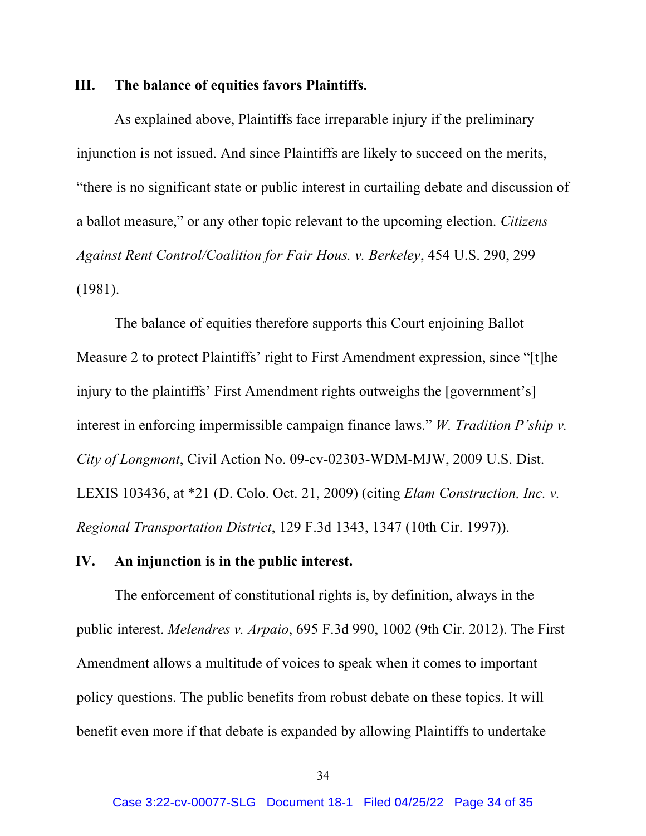#### **III. The balance of equities favors Plaintiffs.**

As explained above, Plaintiffs face irreparable injury if the preliminary injunction is not issued. And since Plaintiffs are likely to succeed on the merits, "there is no significant state or public interest in curtailing debate and discussion of a ballot measure," or any other topic relevant to the upcoming election. *Citizens Against Rent Control/Coalition for Fair Hous. v. Berkeley*, 454 U.S. 290, 299 (1981).

The balance of equities therefore supports this Court enjoining Ballot Measure 2 to protect Plaintiffs' right to First Amendment expression, since "[t]he injury to the plaintiffs' First Amendment rights outweighs the [government's] interest in enforcing impermissible campaign finance laws." *W. Tradition P'ship v. City of Longmont*, Civil Action No. 09-cv-02303-WDM-MJW, 2009 U.S. Dist. LEXIS 103436, at \*21 (D. Colo. Oct. 21, 2009) (citing *Elam Construction, Inc. v. Regional Transportation District*, 129 F.3d 1343, 1347 (10th Cir. 1997)).

#### **IV. An injunction is in the public interest.**

The enforcement of constitutional rights is, by definition, always in the public interest. *Melendres v. Arpaio*, 695 F.3d 990, 1002 (9th Cir. 2012). The First Amendment allows a multitude of voices to speak when it comes to important policy questions. The public benefits from robust debate on these topics. It will benefit even more if that debate is expanded by allowing Plaintiffs to undertake